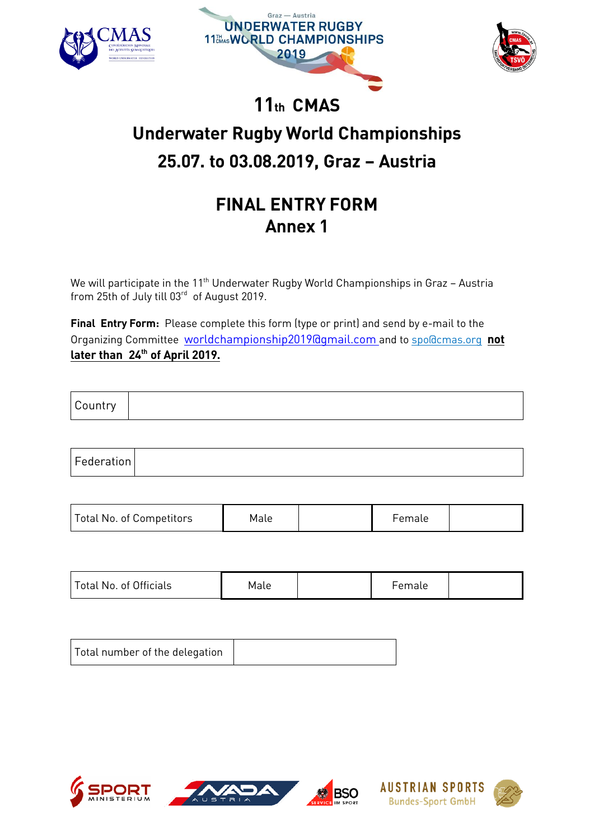

we will participate in the 11th Underwater Rugby World Championships in Graz – Austria<br>from 25th of July till 03<sup>rd</sup> of August 2019 from 25th of July till 03 $\degree$  of August 2019.

Final Entry Form: Ple[ase complete this form \(type or print\) and](mailto:worldchampionship2019@gmail.com) send [by e-mail to the](mailto:spo@cmas.org) Organizing Committee worldchampionship2019@gmail.com and to spo@cmas.org not  $\frac{1}{2}$  or then  $2\ell^{\text{th}}$  of Anril 2010 <u>later than 24th</u> of April 2019.

| $\sqrt{2}$<br>$\sim$<br>ПU |  |
|----------------------------|--|
|----------------------------|--|

| Federation |  |
|------------|--|
|------------|--|

| Total No. of Competitors | Male |  | Female |  |
|--------------------------|------|--|--------|--|
|--------------------------|------|--|--------|--|

| Total No. of Officials | Male |  | Female |  |
|------------------------|------|--|--------|--|
|------------------------|------|--|--------|--|

| Total number of the delegation |  |
|--------------------------------|--|
|--------------------------------|--|